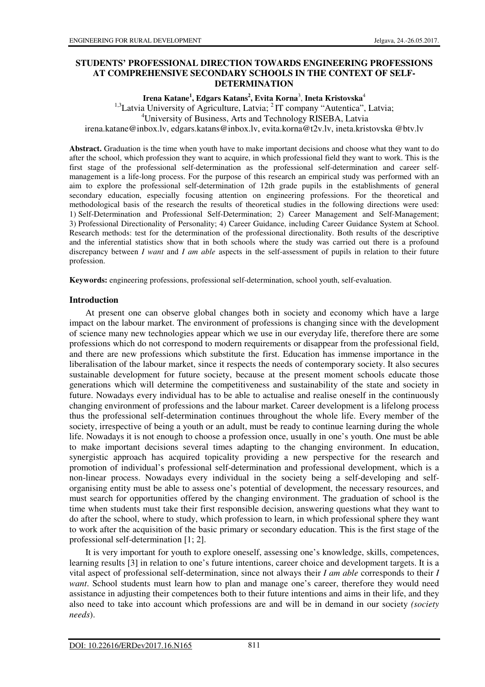# **STUDENTS' PROFESSIONAL DIRECTION TOWARDS ENGINEERING PROFESSIONS AT COMPREHENSIVE SECONDARY SCHOOLS IN THE CONTEXT OF SELF-DETERMINATION**

**Irena Katane<sup>1</sup> , Edgars Katans<sup>2</sup> , Evita Korna**<sup>3</sup> , **Ineta Kristovska**<sup>4</sup>

 $1,3$ Latvia University of Agriculture, Latvia;  $2$ IT company "Autentica", Latvia;

<sup>4</sup>University of Business, Arts and Technology RISEBA, Latvia

irena.katane@inbox.lv, edgars.katans@inbox.lv, evita.korna@t2v.lv, ineta.kristovska @btv.lv

**Abstract.** Graduation is the time when youth have to make important decisions and choose what they want to do after the school, which profession they want to acquire, in which professional field they want to work. This is the first stage of the professional self-determination as the professional self-determination and career selfmanagement is a life-long process. For the purpose of this research an empirical study was performed with an aim to explore the professional self-determination of 12th grade pupils in the establishments of general secondary education, especially focusing attention on engineering professions. For the theoretical and methodological basis of the research the results of theoretical studies in the following directions were used: 1) Self-Determination and Professional Self-Determination; 2) Career Management and Self-Management; 3) Professional Directionality of Personality; 4) Career Guidance, including Career Guidance System at School. Research methods: test for the determination of the professional directionality. Both results of the descriptive and the inferential statistics show that in both schools where the study was carried out there is a profound discrepancy between *I want* and *I am able* aspects in the self-assessment of pupils in relation to their future profession.

**Keywords:** engineering professions, professional self-determination, school youth, self-evaluation.

## **Introduction**

At present one can observe global changes both in society and economy which have a large impact on the labour market. The environment of professions is changing since with the development of science many new technologies appear which we use in our everyday life, therefore there are some professions which do not correspond to modern requirements or disappear from the professional field, and there are new professions which substitute the first. Education has immense importance in the liberalisation of the labour market, since it respects the needs of contemporary society. It also secures sustainable development for future society, because at the present moment schools educate those generations which will determine the competitiveness and sustainability of the state and society in future. Nowadays every individual has to be able to actualise and realise oneself in the continuously changing environment of professions and the labour market. Career development is a lifelong process thus the professional self-determination continues throughout the whole life. Every member of the society, irrespective of being a youth or an adult, must be ready to continue learning during the whole life. Nowadays it is not enough to choose a profession once, usually in one's youth. One must be able to make important decisions several times adapting to the changing environment. In education, synergistic approach has acquired topicality providing a new perspective for the research and promotion of individual's professional self-determination and professional development, which is a non-linear process. Nowadays every individual in the society being a self-developing and selforganising entity must be able to assess one's potential of development, the necessary resources, and must search for opportunities offered by the changing environment. The graduation of school is the time when students must take their first responsible decision, answering questions what they want to do after the school, where to study, which profession to learn, in which professional sphere they want to work after the acquisition of the basic primary or secondary education. This is the first stage of the professional self-determination [1; 2].

It is very important for youth to explore oneself, assessing one's knowledge, skills, competences, learning results [3] in relation to one's future intentions, career choice and development targets. It is a vital aspect of professional self-determination, since not always their *I am able* corresponds to their *I want*. School students must learn how to plan and manage one's career, therefore they would need assistance in adjusting their competences both to their future intentions and aims in their life, and they also need to take into account which professions are and will be in demand in our society *(society needs*).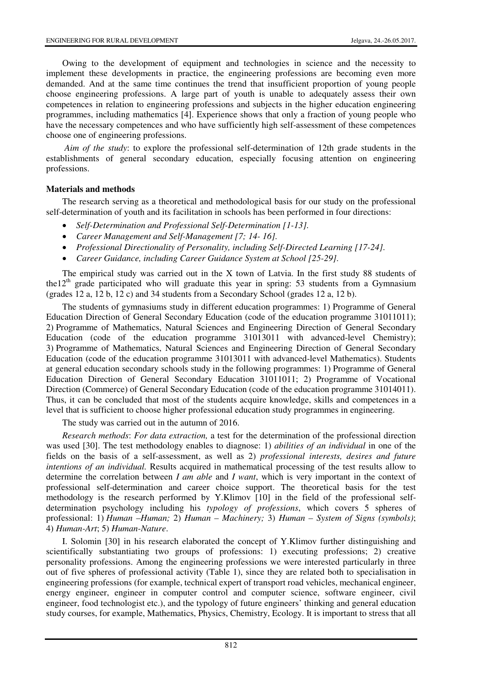Owing to the development of equipment and technologies in science and the necessity to implement these developments in practice, the engineering professions are becoming even more demanded. And at the same time continues the trend that insufficient proportion of young people choose engineering professions. A large part of youth is unable to adequately assess their own competences in relation to engineering professions and subjects in the higher education engineering programmes, including mathematics [4]. Experience shows that only a fraction of young people who have the necessary competences and who have sufficiently high self-assessment of these competences choose one of engineering professions.

*Aim of the study*: to explore the professional self-determination of 12th grade students in the establishments of general secondary education, especially focusing attention on engineering professions.

## **Materials and methods**

The research serving as a theoretical and methodological basis for our study on the professional self-determination of youth and its facilitation in schools has been performed in four directions:

- *Self-Determination and Professional Self-Determination [1-13].*
- *Career Management and Self-Management [7; 14- 16].*
- *Professional Directionality of Personality, including Self-Directed Learning [17-24].*
- *Career Guidance, including Career Guidance System at School [25-29].*

The empirical study was carried out in the X town of Latvia. In the first study 88 students of the  $12<sup>th</sup>$  grade participated who will graduate this year in spring: 53 students from a Gymnasium (grades 12 a, 12 b, 12 c) and 34 students from a Secondary School (grades 12 a, 12 b).

The students of gymnasiums study in different education programmes: 1) Programme of General Education Direction of General Secondary Education (code of the education programme 31011011); 2) Programme of Mathematics, Natural Sciences and Engineering Direction of General Secondary Education (code of the education programme 31013011 with advanced-level Chemistry); 3) Programme of Mathematics, Natural Sciences and Engineering Direction of General Secondary Education (code of the education programme 31013011 with advanced-level Mathematics). Students at general education secondary schools study in the following programmes: 1) Programme of General Education Direction of General Secondary Education 31011011; 2) Programme of Vocational Direction (Commerce) of General Secondary Education (code of the education programme 31014011). Thus, it can be concluded that most of the students acquire knowledge, skills and competences in a level that is sufficient to choose higher professional education study programmes in engineering.

The study was carried out in the autumn of 2016.

*Research methods*: *For data extraction,* a test for the determination of the professional direction was used [30]. The test methodology enables to diagnose: 1) *abilities of an individual* in one of the fields on the basis of a self-assessment, as well as 2) *professional interests, desires and future intentions of an individual.* Results acquired in mathematical processing of the test results allow to determine the correlation between *I am able* and *I want*, which is very important in the context of professional self-determination and career choice support. The theoretical basis for the test methodology is the research performed by Y.Klimov [10] in the field of the professional selfdetermination psychology including his *typology of professions*, which covers 5 spheres of professional: 1) *Human –Human;* 2) *Human – Machinery;* 3) *Human – System of Signs (symbols)*; 4) *Human-Art*; 5) *Human-Nature*.

I. Solomin [30] in his research elaborated the concept of Y.Klimov further distinguishing and scientifically substantiating two groups of professions: 1) executing professions; 2) creative personality professions. Among the engineering professions we were interested particularly in three out of five spheres of professional activity (Table 1), since they are related both to specialisation in engineering professions (for example, technical expert of transport road vehicles, mechanical engineer, energy engineer, engineer in computer control and computer science, software engineer, civil engineer, food technologist etc.), and the typology of future engineers' thinking and general education study courses, for example, Mathematics, Physics, Chemistry, Ecology. It is important to stress that all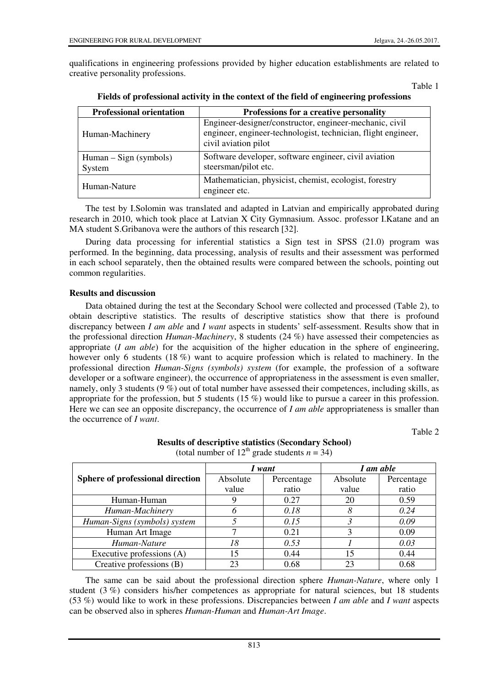qualifications in engineering professions provided by higher education establishments are related to creative personality professions.

Table 1

| <b>Professional orientation</b>  | Professions for a creative personality                                                                                                           |
|----------------------------------|--------------------------------------------------------------------------------------------------------------------------------------------------|
| Human-Machinery                  | Engineer-designer/constructor, engineer-mechanic, civil<br>engineer, engineer-technologist, technician, flight engineer,<br>civil aviation pilot |
| $Human-Sign$ (symbols)<br>System | Software developer, software engineer, civil aviation<br>steersman/pilot etc.                                                                    |
| Human-Nature                     | Mathematician, physicist, chemist, ecologist, forestry<br>engineer etc.                                                                          |

**Fields of professional activity in the context of the field of engineering professions** 

The test by I.Solomin was translated and adapted in Latvian and empirically approbated during research in 2010, which took place at Latvian X City Gymnasium. Assoc. professor I.Katane and an MA student S.Gribanova were the authors of this research [32].

During data processing for inferential statistics a Sign test in SPSS (21.0) program was performed. In the beginning, data processing, analysis of results and their assessment was performed in each school separately, then the obtained results were compared between the schools, pointing out common regularities.

## **Results and discussion**

Data obtained during the test at the Secondary School were collected and processed (Table 2), to obtain descriptive statistics. The results of descriptive statistics show that there is profound discrepancy between *I am able* and *I want* aspects in students' self-assessment. Results show that in the professional direction *Human-Machinery*, 8 students (24 %) have assessed their competencies as appropriate (*I am able*) for the acquisition of the higher education in the sphere of engineering, however only 6 students (18 %) want to acquire profession which is related to machinery. In the professional direction *Human-Signs (symbols) system* (for example, the profession of a software developer or a software engineer), the occurrence of appropriateness in the assessment is even smaller, namely, only 3 students (9 %) out of total number have assessed their competences, including skills, as appropriate for the profession, but 5 students  $(15\%)$  would like to pursue a career in this profession. Here we can see an opposite discrepancy, the occurrence of *I am able* appropriateness is smaller than the occurrence of *I want*.

Table 2

|                                  |          | I want     | I am able |            |
|----------------------------------|----------|------------|-----------|------------|
| Sphere of professional direction | Absolute | Percentage | Absolute  | Percentage |
|                                  | value    | ratio      | value     | ratio      |
| Human-Human                      |          | 0.27       | 20        | 0.59       |
| Human-Machinery                  |          | 0.18       | 8         | 0.24       |
| Human-Signs (symbols) system     |          | 0.15       |           | 0.09       |
| Human Art Image                  |          | 0.21       |           | 0.09       |
| Human-Nature                     | 18       | 0.53       |           | 0.03       |
| Executive professions (A)        | 15       | 0.44       | 15        | 0.44       |
| Creative professions (B)         | 23       | 0.68       | 23        | 0.68       |

**Results of descriptive statistics (Secondary School)**  (total number of  $12^{th}$  grade students  $n = 34$ )

The same can be said about the professional direction sphere *Human-Nature*, where only 1 student (3 %) considers his/her competences as appropriate for natural sciences, but 18 students (53 %) would like to work in these professions. Discrepancies between *I am able* and *I want* aspects can be observed also in spheres *Human-Human* and *Human-Art Image*.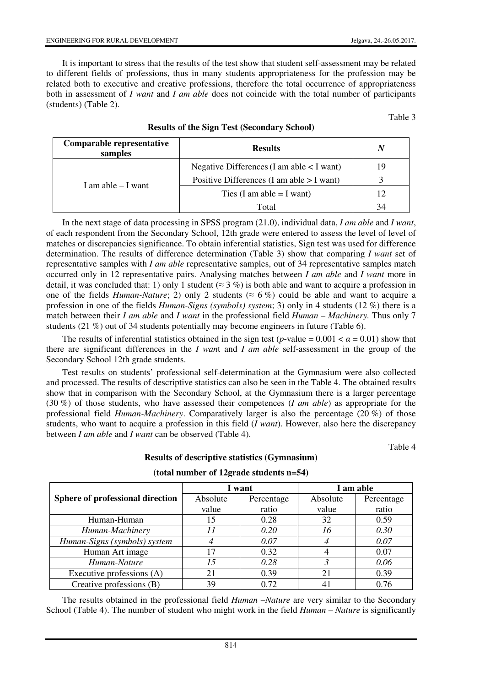It is important to stress that the results of the test show that student self-assessment may be related to different fields of professions, thus in many students appropriateness for the profession may be related both to executive and creative professions, therefore the total occurrence of appropriateness both in assessment of *I want* and *I am able* does not coincide with the total number of participants (students) (Table 2).

Table 3

| Comparable representative<br>samples | <b>Results</b>                                | Λ  |
|--------------------------------------|-----------------------------------------------|----|
| I am able $-$ I want                 | Negative Differences (I am able $\lt$ I want) | 19 |
|                                      | Positive Differences (I am able $>$ I want)   |    |
|                                      | Ties (I am able $=$ I want)                   |    |
|                                      | Total                                         | 34 |

#### **Results of the Sign Test (Secondary School)**

In the next stage of data processing in SPSS program (21.0), individual data, *I am able* and *I want*, of each respondent from the Secondary School, 12th grade were entered to assess the level of level of matches or discrepancies significance. To obtain inferential statistics, Sign test was used for difference determination. The results of difference determination (Table 3) show that comparing *I want* set of representative samples with *I am able* representative samples, out of 34 representative samples match occurred only in 12 representative pairs. Analysing matches between *I am able* and *I want* more in detail, it was concluded that: 1) only 1 student ( $\approx$  3 %) is both able and want to acquire a profession in one of the fields *Human-Nature*; 2) only 2 students ( $\approx$  6%) could be able and want to acquire a profession in one of the fields *Human-Signs (symbols) system*; 3) only in 4 students (12 %) there is a match between their *I am able* and *I want* in the professional field *Human – Machinery.* Thus only 7 students (21 %) out of 34 students potentially may become engineers in future (Table 6).

The results of inferential statistics obtained in the sign test (*p*-value =  $0.001 < \alpha = 0.01$ ) show that there are significant differences in the *I wan*t and *I am able* self-assessment in the group of the Secondary School 12th grade students.

Test results on students' professional self-determination at the Gymnasium were also collected and processed. The results of descriptive statistics can also be seen in the Table 4. The obtained results show that in comparison with the Secondary School, at the Gymnasium there is a larger percentage (30 %) of those students, who have assessed their competences (*I am able*) as appropriate for the professional field *Human-Machinery*. Comparatively larger is also the percentage (20 %) of those students, who want to acquire a profession in this field (*I want*). However, also here the discrepancy between *I am able* and *I want* can be observed (Table 4).

Table 4

## **Results of descriptive statistics (Gymnasium)**

|                                  |          | I want     | I am able |            |
|----------------------------------|----------|------------|-----------|------------|
| Sphere of professional direction | Absolute | Percentage |           | Percentage |
|                                  | value    | ratio      | value     | ratio      |
| Human-Human                      | 15       | 0.28       | 32        | 0.59       |
| Human-Machinery                  |          | 0.20       | 16        | 0.30       |
| Human-Signs (symbols) system     |          | 0.07       |           | 0.07       |
| Human Art image                  | 17       | 0.32       |           | 0.07       |
| Human-Nature                     | 15       | 0.28       |           | 0.06       |
| Executive professions (A)        | 21       | 0.39       | 21        | 0.39       |
| Creative professions (B)         | 39       | 0.72       |           | 0.76       |

**(total number of 12grade students n=54)** 

The results obtained in the professional field *Human –Nature* are very similar to the Secondary School (Table 4). The number of student who might work in the field *Human – Nature* is significantly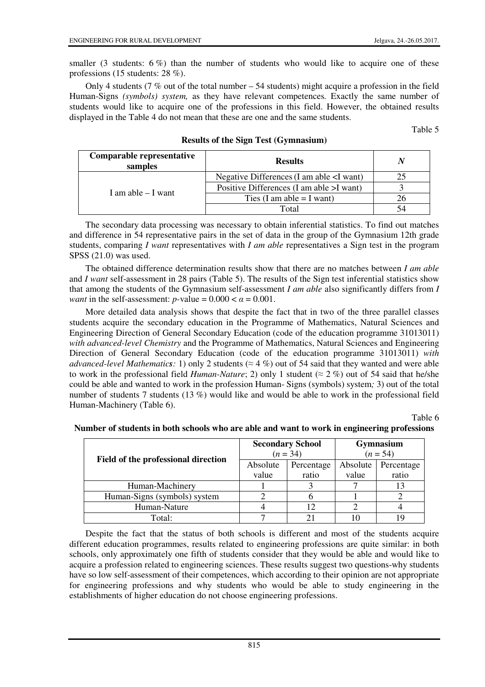smaller (3 students:  $6\%$ ) than the number of students who would like to acquire one of these professions (15 students: 28 %).

Only 4 students (7 % out of the total number – 54 students) might acquire a profession in the field Human-Signs *(symbols) system,* as they have relevant competences*.* Exactly the same number of students would like to acquire one of the professions in this field. However, the obtained results displayed in the Table 4 do not mean that these are one and the same students.

Table 5

| $1000$ and $01000$ $10000$ $1000$ $1000$ |                                                |  |  |  |
|------------------------------------------|------------------------------------------------|--|--|--|
| Comparable representative<br>samples     | <b>Results</b>                                 |  |  |  |
| I am able – I want                       | Negative Differences (I am able $\leq I$ want) |  |  |  |
|                                          | Positive Differences (I am able $>I$ want)     |  |  |  |
|                                          | Ties (I am able $=$ I want)                    |  |  |  |
|                                          | Total                                          |  |  |  |

#### **Results of the Sign Test (Gymnasium)**

The secondary data processing was necessary to obtain inferential statistics. To find out matches and difference in 54 representative pairs in the set of data in the group of the Gymnasium 12th grade students, comparing *I want* representatives with *I am able* representatives a Sign test in the program SPSS (21.0) was used.

The obtained difference determination results show that there are no matches between *I am able* and *I want* self-assessment in 28 pairs (Table 5). The results of the Sign test inferential statistics show that among the students of the Gymnasium self-assessment *I am able* also significantly differs from *I want* in the self-assessment: *p*-value =  $0.000 < \alpha = 0.001$ .

More detailed data analysis shows that despite the fact that in two of the three parallel classes students acquire the secondary education in the Programme of Mathematics, Natural Sciences and Engineering Direction of General Secondary Education (code of the education programme 31013011) *with advanced-level Chemistry* and the Programme of Mathematics, Natural Sciences and Engineering Direction of General Secondary Education (code of the education programme 31013011) *with advanced-level Mathematics*: 1) only 2 students ( $\approx$  4 %) out of 54 said that they wanted and were able to work in the professional field *Human-Nature*; 2) only 1 student ( $\approx$  2 %) out of 54 said that he/she could be able and wanted to work in the profession Human- Signs (symbols) system*;* 3) out of the total number of students 7 students (13 %) would like and would be able to work in the professional field Human-Machinery (Table 6).

Table 6

| Field of the professional direction |          | <b>Secondary School</b><br>$(n = 34)$ | <b>Gymnasium</b><br>$(n = 54)$ |            |
|-------------------------------------|----------|---------------------------------------|--------------------------------|------------|
|                                     | Absolute | Percentage                            | Absolute                       | Percentage |
|                                     | value    | ratio                                 | value                          | ratio      |
| Human-Machinery                     |          |                                       |                                |            |
| Human-Signs (symbols) system        |          |                                       |                                |            |
| Human-Nature                        |          | 12                                    |                                |            |
| Total:                              |          |                                       |                                |            |

**Number of students in both schools who are able and want to work in engineering professions** 

Despite the fact that the status of both schools is different and most of the students acquire different education programmes, results related to engineering professions are quite similar: in both schools, only approximately one fifth of students consider that they would be able and would like to acquire a profession related to engineering sciences. These results suggest two questions-why students have so low self-assessment of their competences, which according to their opinion are not appropriate for engineering professions and why students who would be able to study engineering in the establishments of higher education do not choose engineering professions.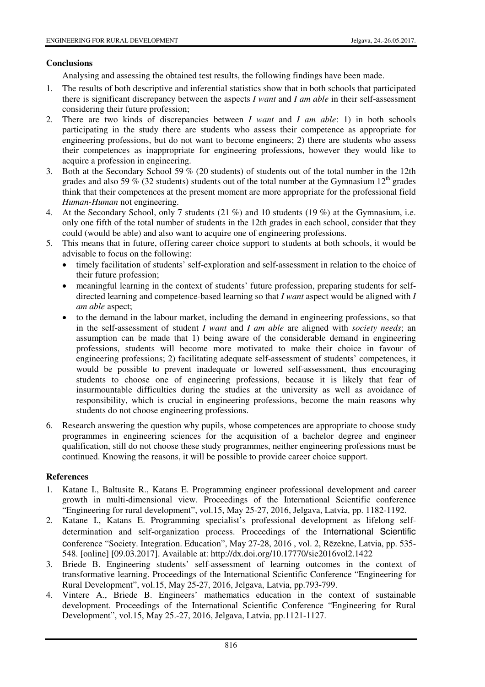# **Conclusions**

Analysing and assessing the obtained test results, the following findings have been made.

- 1. The results of both descriptive and inferential statistics show that in both schools that participated there is significant discrepancy between the aspects *I want* and *I am able* in their self-assessment considering their future profession;
- 2. There are two kinds of discrepancies between *I want* and *I am able*: 1) in both schools participating in the study there are students who assess their competence as appropriate for engineering professions, but do not want to become engineers; 2) there are students who assess their competences as inappropriate for engineering professions, however they would like to acquire a profession in engineering.
- 3. Both at the Secondary School 59 % (20 students) of students out of the total number in the 12th grades and also 59 % (32 students) students out of the total number at the Gymnasium  $12<sup>th</sup>$  grades think that their competences at the present moment are more appropriate for the professional field *Human-Human* not engineering.
- 4. At the Secondary School, only 7 students (21 %) and 10 students (19 %) at the Gymnasium, i.e. only one fifth of the total number of students in the 12th grades in each school, consider that they could (would be able) and also want to acquire one of engineering professions.
- 5. This means that in future, offering career choice support to students at both schools, it would be advisable to focus on the following:
	- timely facilitation of students' self-exploration and self-assessment in relation to the choice of their future profession;
	- meaningful learning in the context of students' future profession, preparing students for selfdirected learning and competence-based learning so that *I want* aspect would be aligned with *I am able* aspect;
	- to the demand in the labour market, including the demand in engineering professions, so that in the self-assessment of student *I want* and *I am able* are aligned with *society needs*; an assumption can be made that 1) being aware of the considerable demand in engineering professions, students will become more motivated to make their choice in favour of engineering professions; 2) facilitating adequate self-assessment of students' competences, it would be possible to prevent inadequate or lowered self-assessment, thus encouraging students to choose one of engineering professions, because it is likely that fear of insurmountable difficulties during the studies at the university as well as avoidance of responsibility, which is crucial in engineering professions, become the main reasons why students do not choose engineering professions.
- 6. Research answering the question why pupils, whose competences are appropriate to choose study programmes in engineering sciences for the acquisition of a bachelor degree and engineer qualification, still do not choose these study programmes, neither engineering professions must be continued. Knowing the reasons, it will be possible to provide career choice support.

## **References**

- 1. Katane I., Baltusite R., Katans E. Programming engineer professional development and career growth in multi-dimensional view. Proceedings of the International Scientific conference "Engineering for rural development", vol.15, May 25-27, 2016, Jelgava, Latvia, pp. 1182-1192.
- 2. Katane I., Katans E. Programming specialist's professional development as lifelong selfdetermination and self-organization process. Proceedings of the International Scientific conference "Society. Integration. Education", May 27-28, 2016 , vol. 2, Rēzekne, Latvia, pp. 535- 548. [online] [09.03.2017]. Available at: http://dx.doi.org/10.17770/sie2016vol2.1422
- 3. Briede B. Engineering students' self-assessment of learning outcomes in the context of transformative learning. Proceedings of the International Scientific Conference "Engineering for Rural Development", vol.15, May 25-27, 2016, Jelgava, Latvia, pp.793-799.
- 4. Vintere A., Briede B. Engineers' mathematics education in the context of sustainable development. Proceedings of the International Scientific Conference "Engineering for Rural Development", vol.15, May 25.-27, 2016, Jelgava, Latvia, pp.1121-1127.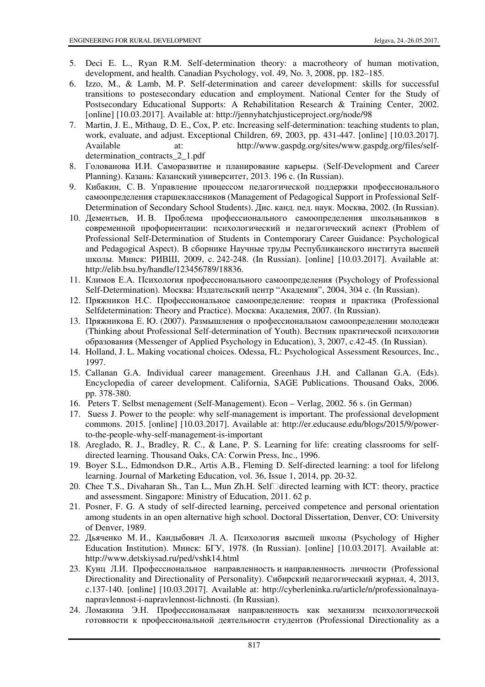- 5. Deci E. L., Ryan R.M. Self-determination theory: a macrotheory of human motivation, development, and health. Canadian Psychology, vol. 49, No. 3, 2008, pp. 182–185.
- 6. Izzo, M., & Lamb, M. P. Self-determination and career development: skills for successful transitions to postesecondary education and employment. National Center for the Study of Postsecondary Educational Supports: A Rehabilitation Research & Training Center, 2002. [online] [10.03.2017]. Available at: http://jennyhatchjusticeproject.org/node/98
- 7. Martin, J. E., Mithaug, D. E., Cox, P. etc. Increasing self-determination: teaching students to plan, work, evaluate, and adjust. Exceptional Children, 69, 2003, pp. 431-447. [online] [10.03.2017]. Available at: http://www.gaspdg.org/sites/www.gaspdg.org/files/selfdetermination\_contracts\_2\_1.pdf
- 8. Голованова И.И. Саморазвитие и планирование карьеры. (Self-Development and Career Planning). Казань: Казанский университет, 2013. 196 с. (In Russian).
- 9. Кибакин, С. В. Управление процессом педагогической поддержки профессионального самоопределения старшеклассников (Management of Pedagogical Support in Professional Self-Determination of Secondary School Students). Дис. канд. пед. наук. Москва, 2002. (In Russian).
- 10. Дементьев, И. В. Проблема профессионального самоопределения школьньников в современной профориентации: психологический и педагогический аспект (Problem of Professional Self-Determination of Students in Contemporary Career Guidance: Psychological and Pedagogical Aspect). В сборнике Научные труды Республиканского института высшей школы. Минск: РИВШ, 2009, c. 242-248. (In Russian). [online] [10.03.2017]. Available at: http://elib.bsu.by/handle/123456789/18836.
- 11. Климов Е.А. Психолоrия профессиональноrо самоопределения (Psychology of Professional Self-Determination). Москва: Издательский центр "Академия", 2004, 304 с. (In Russian).
- 12. Пряжников Н.С. Профессиональное самоопределение: теория и практика (Professional Selfdetermination: Theory and Practice). Москва: Академия, 2007. (In Russian).
- 13. Пряжникова Е. Ю. (2007). Размышления о профессиональном самоопределении молодежи (Thinking about Professional Self-determination of Youth). Вестник практической психологии образования (Messenger of Applied Psychology in Education), 3, 2007, c.42-45. (In Russian).
- 14. Holland, J. L. Making vocational choices. Odessa, FL: Psychological Assessment Resources, Inc., 1997.
- 15. Callanan G.A. Individual career management. Greenhaus J.H. and Callanan G.A. (Eds). Encyclopedia of career development. California, SAGE Publications. Thousand Oaks, 2006. pp. 378-380.
- 16. Peters T. Selbst menagement (Self-Management). Econ Verlag, 2002. 56 s. (in German)
- 17. Suess J. Power to the people: why self-management is important. The professional development commons. 2015. [online] [10.03.2017]. Available at: http://er.educause.edu/blogs/2015/9/powerto-the-people-why-self-management-is-important
- 18. Areglado, R. J., Bradley, R. C., & Lane, P. S. Learning for life: creating classrooms for selfdirected learning. Thousand Oaks, CA: Corwin Press, Inc., 1996.
- 19. Boyer S.L., Edmondson D.R., Artis A.B., Fleming D. Self-directed learning: a tool for lifelong learning. Journal of Marketing Education, vol. 36, Issue 1, 2014, pp. 20-32.
- 20. Chee T.S., Divaharan Sh., Tan L., Mun Zh.H. Self□directed learning with ICT: theory, practice and assessment. Singapore: Ministry of Education, 2011. 62 p.
- 21. Posner, F. G. A study of self-directed learning, perceived competence and personal orientation among students in an open alternative high school. Doctoral Dissertation, Denver, CO: University of Denver, 1989.
- 22. Дьяченко М. И., Кандыбович Л. А. Психология высшей школы (Psychology of Higher Education Institution). Минск: БГУ, 1978. (In Russian). [online] [10.03.2017]. Available at: http://www.detskiysad.ru/ped/vshk14.html
- 23. Кунц Л.И. Профессиональное направленность и направленность личности (Professional Directionality and Directionality of Personality). Сибирский педагогический журнал, 4, 2013, c.137-140. [online] [10.03.2017]. Available at: http://cyberleninka.ru/article/n/professionalnayanapravlennost-i-napravlennost-lichnosti. (In Russian).
- 24. Ломакина Э.Н. Профессиональная направленность как механизм психологической готовности к профессиональной деятельности студентов (Professional Directionality as a